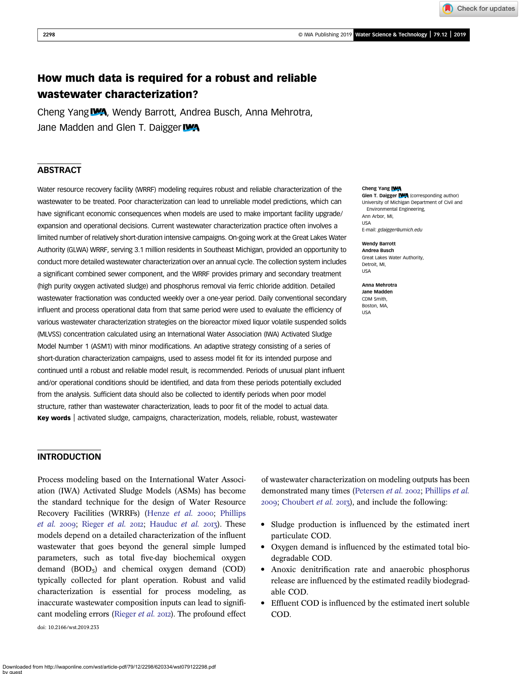Check for updates

# How much data is required for a robust and reliable wastewater characterization?

Cheng Yang **WA**, Wendy Barrott, Andrea Busch, Anna Mehrotra, Jane Madden and Glen T. Daigger

### ABSTRACT

Water resource recovery facility (WRRF) modeling requires robust and reliable characterization of the wastewater to be treated. Poor characterization can lead to unreliable model predictions, which can have significant economic consequences when models are used to make important facility upgrade/ expansion and operational decisions. Current wastewater characterization practice often involves a limited number of relatively short-duration intensive campaigns. On-going work at the Great Lakes Water Authority (GLWA) WRRF, serving 3.1 million residents in Southeast Michigan, provided an opportunity to conduct more detailed wastewater characterization over an annual cycle. The collection system includes a significant combined sewer component, and the WRRF provides primary and secondary treatment (high purity oxygen activated sludge) and phosphorus removal via ferric chloride addition. Detailed wastewater fractionation was conducted weekly over a one-year period. Daily conventional secondary influent and process operational data from that same period were used to evaluate the efficiency of various wastewater characterization strategies on the bioreactor mixed liquor volatile suspended solids (MLVSS) concentration calculated using an International Water Association (IWA) Activated Sludge Model Number 1 (ASM1) with minor modifications. An adaptive strategy consisting of a series of short-duration characterization campaigns, used to assess model fit for its intended purpose and continued until a robust and reliable model result, is recommended. Periods of unusual plant influent and/or operational conditions should be identified, and data from these periods potentially excluded from the analysis. Sufficient data should also be collected to identify periods when poor model structure, rather than wastewater characterization, leads to poor fit of the model to actual data. Key words | activated sludge, campaigns, characterization, models, reliable, robust, wastewater

#### Cheng Yang IWA

Glen T. Daigger **[WA** (corresponding author) University of Michigan Department of Civil and Environmental Engineering, Ann Arbor, MI, USA E-mail: [gdaigger@umich.edu](mailto:gdaigger@umich.edu)

Wendy Barrott Andrea Busch Great Lakes Water Authority, Detroit, MI,

Anna Mehrotra Jane Madden CDM Smith, Boston, MA, USA

USA

### INTRODUCTION

Process modeling based on the International Water Association (IWA) Activated Sludge Models (ASMs) has become the standard technique for the design of Water Resource Recovery Facilities (WRRFs) ([Henze](#page-11-0) et al. 2000; [Phillips](#page-11-0) [et al.](#page-11-0) 2009; [Rieger](#page-11-0) et al. 2012; [Hauduc](#page-10-0) et al. 2013). These models depend on a detailed characterization of the influent wastewater that goes beyond the general simple lumped parameters, such as total five-day biochemical oxygen demand  $(BOD<sub>5</sub>)$  and chemical oxygen demand  $(COD)$ typically collected for plant operation. Robust and valid characterization is essential for process modeling, as inaccurate wastewater composition inputs can lead to signifi-cant modeling errors [\(Rieger](#page-11-0) et al. 2012). The profound effect doi: 10.2166/wst.2019.233

of wastewater characterization on modeling outputs has been demonstrated many times [\(Petersen](#page-11-0) et al. 2002; [Phillips](#page-11-0) et al.  $2009$ ; [Choubert](#page-10-0) et al.  $2013$ ), and include the following:

- Sludge production is influenced by the estimated inert particulate COD.
- Oxygen demand is influenced by the estimated total biodegradable COD.
- Anoxic denitrification rate and anaerobic phosphorus release are influenced by the estimated readily biodegradable COD.
- Effluent COD is influenced by the estimated inert soluble COD.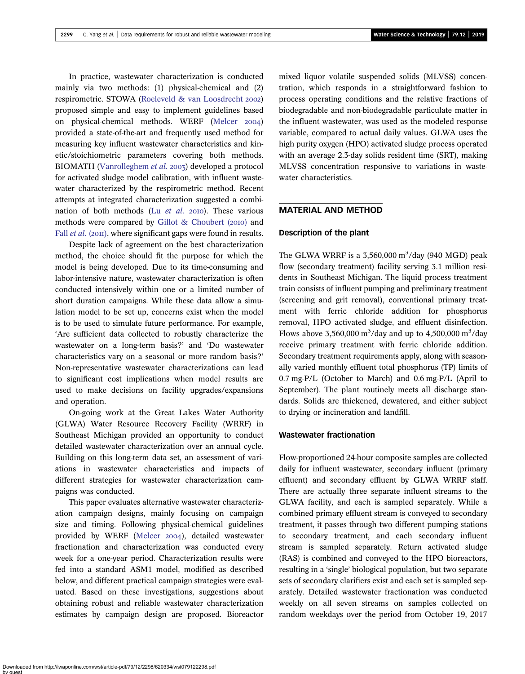In practice, wastewater characterization is conducted mainly via two methods: (1) physical-chemical and (2) respirometric. STOWA ([Roeleveld & van Loosdrecht](#page-11-0) 2002) proposed simple and easy to implement guidelines based on physical-chemical methods. WERF [\(Melcer](#page-11-0) 2004) provided a state-of-the-art and frequently used method for measuring key influent wastewater characteristics and kinetic/stoichiometric parameters covering both methods. BIOMATH ([Vanrolleghem](#page-11-0) et al. 2003) developed a protocol for activated sludge model calibration, with influent wastewater characterized by the respirometric method. Recent attempts at integrated characterization suggested a combination of both methods (Lu  $et$   $al.$  2010). These various methods were compared by [Gillot & Choubert \(](#page-10-0)2010) and Fall *[et al.](#page-10-0)* (2011), where significant gaps were found in results.

Despite lack of agreement on the best characterization method, the choice should fit the purpose for which the model is being developed. Due to its time-consuming and labor-intensive nature, wastewater characterization is often conducted intensively within one or a limited number of short duration campaigns. While these data allow a simulation model to be set up, concerns exist when the model is to be used to simulate future performance. For example, 'Are sufficient data collected to robustly characterize the wastewater on a long-term basis?' and 'Do wastewater characteristics vary on a seasonal or more random basis?' Non-representative wastewater characterizations can lead to significant cost implications when model results are used to make decisions on facility upgrades/expansions and operation.

On-going work at the Great Lakes Water Authority (GLWA) Water Resource Recovery Facility (WRRF) in Southeast Michigan provided an opportunity to conduct detailed wastewater characterization over an annual cycle. Building on this long-term data set, an assessment of variations in wastewater characteristics and impacts of different strategies for wastewater characterization campaigns was conducted.

This paper evaluates alternative wastewater characterization campaign designs, mainly focusing on campaign size and timing. Following physical-chemical guidelines provided by WERF ([Melcer](#page-11-0) 2004), detailed wastewater fractionation and characterization was conducted every week for a one-year period. Characterization results were fed into a standard ASM1 model, modified as described below, and different practical campaign strategies were evaluated. Based on these investigations, suggestions about obtaining robust and reliable wastewater characterization estimates by campaign design are proposed. Bioreactor mixed liquor volatile suspended solids (MLVSS) concentration, which responds in a straightforward fashion to process operating conditions and the relative fractions of biodegradable and non-biodegradable particulate matter in the influent wastewater, was used as the modeled response variable, compared to actual daily values. GLWA uses the high purity oxygen (HPO) activated sludge process operated with an average 2.3-day solids resident time (SRT), making MLVSS concentration responsive to variations in wastewater characteristics.

### MATERIAL AND METHOD

### Description of the plant

The GLWA WRRF is a 3,560,000  $\text{m}^3/\text{day}$  (940 MGD) peak flow (secondary treatment) facility serving 3.1 million residents in Southeast Michigan. The liquid process treatment train consists of influent pumping and preliminary treatment (screening and grit removal), conventional primary treatment with ferric chloride addition for phosphorus removal, HPO activated sludge, and effluent disinfection. Flows above 3,560,000  $\text{m}^3/\text{day}$  and up to 4,500,000  $\text{m}^3/\text{day}$ receive primary treatment with ferric chloride addition. Secondary treatment requirements apply, along with seasonally varied monthly effluent total phosphorus (TP) limits of 0.7 mg-P/L (October to March) and 0.6 mg-P/L (April to September). The plant routinely meets all discharge standards. Solids are thickened, dewatered, and either subject to drying or incineration and landfill.

### Wastewater fractionation

Flow-proportioned 24-hour composite samples are collected daily for influent wastewater, secondary influent (primary effluent) and secondary effluent by GLWA WRRF staff. There are actually three separate influent streams to the GLWA facility, and each is sampled separately. While a combined primary effluent stream is conveyed to secondary treatment, it passes through two different pumping stations to secondary treatment, and each secondary influent stream is sampled separately. Return activated sludge (RAS) is combined and conveyed to the HPO bioreactors, resulting in a 'single' biological population, but two separate sets of secondary clarifiers exist and each set is sampled separately. Detailed wastewater fractionation was conducted weekly on all seven streams on samples collected on random weekdays over the period from October 19, 2017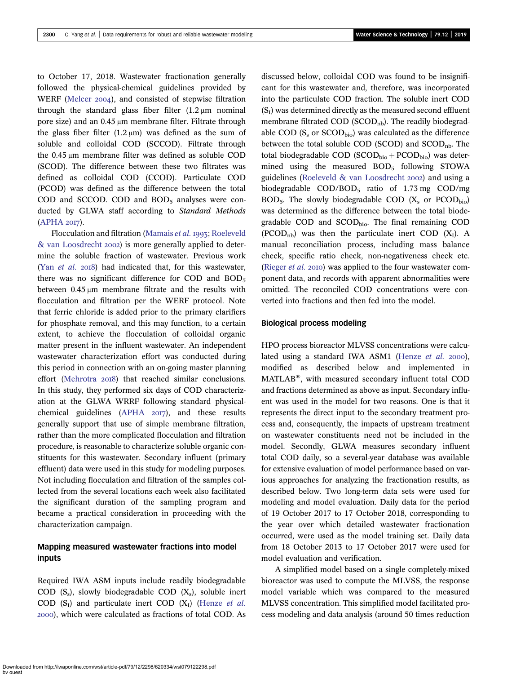to October 17, 2018. Wastewater fractionation generally followed the physical-chemical guidelines provided by WERF ([Melcer](#page-11-0) 2004), and consisted of stepwise filtration through the standard glass fiber filter (1.2 μm nominal pore size) and an 0.45 μm membrane filter. Filtrate through the glass fiber filter  $(1.2 \mu m)$  was defined as the sum of soluble and colloidal COD (SCCOD). Filtrate through the 0.45 μm membrane filter was defined as soluble COD (SCOD). The difference between these two filtrates was defined as colloidal COD (CCOD). Particulate COD (PCOD) was defined as the difference between the total COD and SCCOD. COD and  $BOD<sub>5</sub>$  analyses were conducted by GLWA staff according to Standard Methods ([APHA](#page-10-0) 2017).

Flocculation and filtration ([Mamais](#page-11-0) et al. 1993; [Roeleveld](#page-11-0)  $&$  van Loosdrecht 2002) is more generally applied to determine the soluble fraction of wastewater. Previous work (Yan [et al.](#page-11-0) 2018) had indicated that, for this wastewater, there was no significant difference for COD and  $BOD<sub>5</sub>$ between 0.45 μm membrane filtrate and the results with flocculation and filtration per the WERF protocol. Note that ferric chloride is added prior to the primary clarifiers for phosphate removal, and this may function, to a certain extent, to achieve the flocculation of colloidal organic matter present in the influent wastewater. An independent wastewater characterization effort was conducted during this period in connection with an on-going master planning effort [\(Mehrotra](#page-11-0) 2018) that reached similar conclusions. In this study, they performed six days of COD characterization at the GLWA WRRF following standard physicalchemical guidelines ( $APHA$   $2017$ ), and these results generally support that use of simple membrane filtration, rather than the more complicated flocculation and filtration procedure, is reasonable to characterize soluble organic constituents for this wastewater. Secondary influent (primary effluent) data were used in this study for modeling purposes. Not including flocculation and filtration of the samples collected from the several locations each week also facilitated the significant duration of the sampling program and became a practical consideration in proceeding with the characterization campaign.

### Mapping measured wastewater fractions into model inputs

Required IWA ASM inputs include readily biodegradable COD  $(S_s)$ , slowly biodegradable COD  $(X_s)$ , soluble inert COD  $(S<sub>1</sub>)$  and particulate inert COD  $(X<sub>1</sub>)$  ([Henze](#page-11-0) *et al.*) ), which were calculated as fractions of total COD. As discussed below, colloidal COD was found to be insignificant for this wastewater and, therefore, was incorporated into the particulate COD fraction. The soluble inert COD  $(S<sub>1</sub>)$  was determined directly as the measured second effluent membrane filtrated COD  $(SCOD<sub>nb</sub>)$ . The readily biodegradable COD  $(S_s \text{ or } S\text{COD}_{bio})$  was calculated as the difference between the total soluble COD (SCOD) and  $SCOD<sub>nb</sub>$ . The total biodegradable COD ( $SCOD<sub>bio</sub> + PCOD<sub>bio</sub>$ ) was determined using the measured  $BOD<sub>5</sub>$  following STOWA guidelines ([Roeleveld & van Loosdrecht](#page-11-0) 2002) and using a biodegradable  $\text{COD/BOD}_5$  ratio of 1.73 mg  $\text{COD/mg}$ BOD<sub>5</sub>. The slowly biodegradable COD  $(X<sub>s</sub>$  or PCOD<sub>bio</sub>) was determined as the difference between the total biodegradable COD and SCOD<sub>bio</sub>. The final remaining COD  $(PCOD<sub>nb</sub>)$  was then the particulate inert COD  $(X<sub>I</sub>)$ . A manual reconciliation process, including mass balance check, specific ratio check, non-negativeness check etc. ([Rieger](#page-11-0) *et al.* 2010) was applied to the four wastewater component data, and records with apparent abnormalities were omitted. The reconciled COD concentrations were converted into fractions and then fed into the model.

### Biological process modeling

HPO process bioreactor MLVSS concentrations were calcu-lated using a standard IWA ASM1 ([Henze](#page-11-0) et al.  $2000$ ), modified as described below and implemented in MATLAB®, with measured secondary influent total COD and fractions determined as above as input. Secondary influent was used in the model for two reasons. One is that it represents the direct input to the secondary treatment process and, consequently, the impacts of upstream treatment on wastewater constituents need not be included in the model. Secondly, GLWA measures secondary influent total COD daily, so a several-year database was available for extensive evaluation of model performance based on various approaches for analyzing the fractionation results, as described below. Two long-term data sets were used for modeling and model evaluation. Daily data for the period of 19 October 2017 to 17 October 2018, corresponding to the year over which detailed wastewater fractionation occurred, were used as the model training set. Daily data from 18 October 2013 to 17 October 2017 were used for model evaluation and verification.

A simplified model based on a single completely-mixed bioreactor was used to compute the MLVSS, the response model variable which was compared to the measured MLVSS concentration. This simplified model facilitated process modeling and data analysis (around 50 times reduction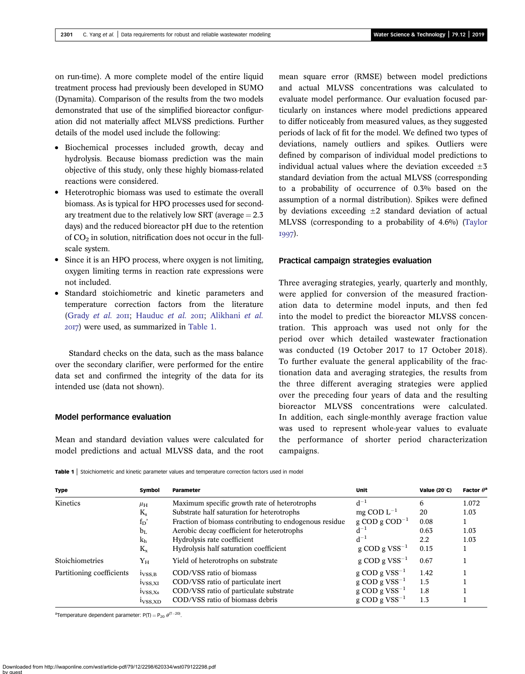<span id="page-3-0"></span>on run-time). A more complete model of the entire liquid treatment process had previously been developed in SUMO (Dynamita). Comparison of the results from the two models demonstrated that use of the simplified bioreactor configuration did not materially affect MLVSS predictions. Further details of the model used include the following:

- Biochemical processes included growth, decay and hydrolysis. Because biomass prediction was the main objective of this study, only these highly biomass-related reactions were considered.
- Heterotrophic biomass was used to estimate the overall biomass. As is typical for HPO processes used for secondary treatment due to the relatively low SRT (average  $= 2.3$ ) days) and the reduced bioreactor pH due to the retention of  $CO<sub>2</sub>$  in solution, nitrification does not occur in the fullscale system.
- Since it is an HPO process, where oxygen is not limiting, oxygen limiting terms in reaction rate expressions were not included.
- Standard stoichiometric and kinetic parameters and temperature correction factors from the literature [\(Grady](#page-10-0) et al. 2011; [Hauduc](#page-10-0) et al. 2011; [Alikhani](#page-10-0) et al. ) were used, as summarized in Table 1.

Standard checks on the data, such as the mass balance over the secondary clarifier, were performed for the entire data set and confirmed the integrity of the data for its intended use (data not shown).

### Model performance evaluation

Mean and standard deviation values were calculated for model predictions and actual MLVSS data, and the root mean square error (RMSE) between model predictions and actual MLVSS concentrations was calculated to evaluate model performance. Our evaluation focused particularly on instances where model predictions appeared to differ noticeably from measured values, as they suggested periods of lack of fit for the model. We defined two types of deviations, namely outliers and spikes. Outliers were defined by comparison of individual model predictions to individual actual values where the deviation exceeded  $\pm 3$ standard deviation from the actual MLVSS (corresponding to a probability of occurrence of 0.3% based on the assumption of a normal distribution). Spikes were defined by deviations exceeding  $\pm 2$  standard deviation of actual MLVSS (corresponding to a probability of 4.6%) [\(Taylor](#page-11-0) 1997).

#### Practical campaign strategies evaluation

Three averaging strategies, yearly, quarterly and monthly, were applied for conversion of the measured fractionation data to determine model inputs, and then fed into the model to predict the bioreactor MLVSS concentration. This approach was used not only for the period over which detailed wastewater fractionation was conducted (19 October 2017 to 17 October 2018). To further evaluate the general applicability of the fractionation data and averaging strategies, the results from the three different averaging strategies were applied over the preceding four years of data and the resulting bioreactor MLVSS concentrations were calculated. In addition, each single-monthly average fraction value was used to represent whole-year values to evaluate the performance of shorter period characterization campaigns.

Table 1 | Stoichiometric and kinetic parameter values and temperature correction factors used in model

| <b>Type</b>               | Symbol              | Parameter                                              | Unit                          | Value $(20^{\circ}C)$ | Factor $\theta^{\bf a}$ |
|---------------------------|---------------------|--------------------------------------------------------|-------------------------------|-----------------------|-------------------------|
| Kinetics                  | $\mu_{\rm H}$       | Maximum specific growth rate of heterotrophs.          | $d^{-1}$                      | 6                     | 1.072                   |
|                           | $K_{s}$             | Substrate half saturation for heterotrophs             | mg COD $L^{-1}$               | 20                    | 1.03                    |
|                           | $f_D$               | Fraction of biomass contributing to endogenous residue | g COD g COD <sup>-1</sup>     | 0.08                  |                         |
|                           | $b_L$               | Aerobic decay coefficient for heterotrophs             | $d^{-1}$                      | 0.63                  | 1.03                    |
|                           | k <sub>h</sub>      | Hydrolysis rate coefficient                            | $d^{-1}$                      | 2.2                   | 1.03                    |
|                           | $K_{x}$             | Hydrolysis half saturation coefficient                 | $g$ COD $g$ VSS <sup>-1</sup> | 0.15                  |                         |
| Stoichiometries           | Yн                  | Yield of heterotrophs on substrate                     | g COD g $VSS^{-1}$            | 0.67                  |                         |
| Partitioning coefficients | 1 <sub>VSS,B</sub>  | COD/VSS ratio of biomass                               | g COD g $VSS^{-1}$            | 1.42                  |                         |
|                           | 1 <sub>VSS,XI</sub> | COD/VSS ratio of particulate inert                     | g COD g $VSS^{-1}$            | 1.5                   |                         |
|                           | 1 <sub>VSS,Xs</sub> | COD/VSS ratio of particulate substrate                 | g COD g $VSS^{-1}$            | 1.8                   |                         |
|                           | 1 <sub>VSS,XD</sub> | COD/VSS ratio of biomass debris                        | g COD g $VSS^{-1}$            | 1.3                   |                         |

<sup>a</sup>Temperature dependent parameter:  $P(T) = P_{20} \theta^{(T-20)}$ .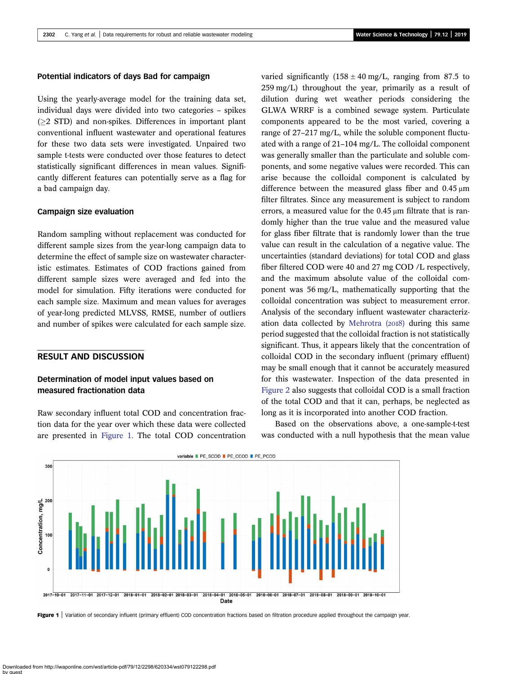#### Potential indicators of days Bad for campaign

Using the yearly-average model for the training data set, individual days were divided into two categories – spikes (2 STD) and non-spikes. Differences in important plant conventional influent wastewater and operational features for these two data sets were investigated. Unpaired two sample t-tests were conducted over those features to detect statistically significant differences in mean values. Significantly different features can potentially serve as a flag for a bad campaign day.

### Campaign size evaluation

Random sampling without replacement was conducted for different sample sizes from the year-long campaign data to determine the effect of sample size on wastewater characteristic estimates. Estimates of COD fractions gained from different sample sizes were averaged and fed into the model for simulation. Fifty iterations were conducted for each sample size. Maximum and mean values for averages of year-long predicted MLVSS, RMSE, number of outliers and number of spikes were calculated for each sample size.

### RESULT AND DISCUSSION

### Determination of model input values based on measured fractionation data

Raw secondary influent total COD and concentration fraction data for the year over which these data were collected are presented in Figure 1. The total COD concentration varied significantly  $(158 \pm 40 \text{ mg/L})$ , ranging from 87.5 to 259 mg/L) throughout the year, primarily as a result of dilution during wet weather periods considering the GLWA WRRF is a combined sewage system. Particulate components appeared to be the most varied, covering a range of 27–217 mg/L, while the soluble component fluctuated with a range of 21–104 mg/L. The colloidal component was generally smaller than the particulate and soluble components, and some negative values were recorded. This can arise because the colloidal component is calculated by difference between the measured glass fiber and 0.45 μm filter filtrates. Since any measurement is subject to random errors, a measured value for the 0.45 μm filtrate that is randomly higher than the true value and the measured value for glass fiber filtrate that is randomly lower than the true value can result in the calculation of a negative value. The uncertainties (standard deviations) for total COD and glass fiber filtered COD were 40 and 27 mg COD /L respectively, and the maximum absolute value of the colloidal component was 56 mg/L, mathematically supporting that the colloidal concentration was subject to measurement error. Analysis of the secondary influent wastewater characterization data collected by Mehrotra  $(2018)$  during this same period suggested that the colloidal fraction is not statistically significant. Thus, it appears likely that the concentration of colloidal COD in the secondary influent (primary effluent) may be small enough that it cannot be accurately measured for this wastewater. Inspection of the data presented in [Figure 2](#page-5-0) also suggests that colloidal COD is a small fraction of the total COD and that it can, perhaps, be neglected as long as it is incorporated into another COD fraction.

Based on the observations above, a one-sample-t-test was conducted with a null hypothesis that the mean value



Figure 1 | Variation of secondary influent (primary effluent) COD concentration fractions based on filtration procedure applied throughout the campaign year.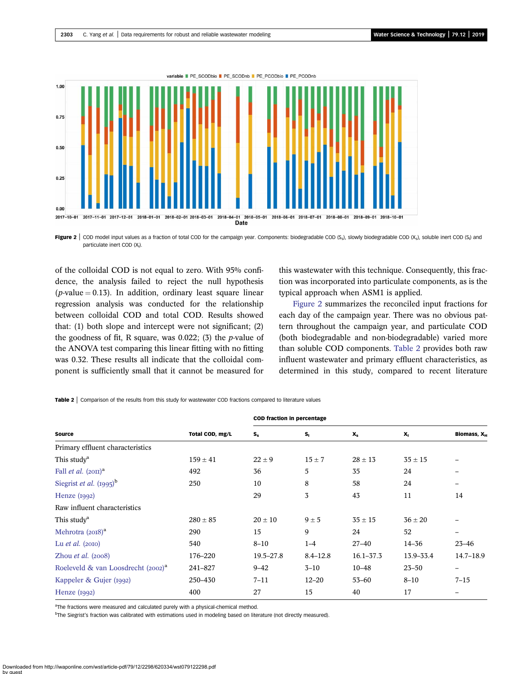<span id="page-5-0"></span>

Figure 2 | COD model input values as a fraction of total COD for the campaign year. Components: biodegradable COD (S<sub>s</sub>), slowly biodegradable COD (X<sub>s</sub>), soluble inert COD (S<sub>i</sub>) and particulate inert COD (X<sub>I</sub>).

of the colloidal COD is not equal to zero. With 95% confidence, the analysis failed to reject the null hypothesis (*p*-value  $= 0.13$ ). In addition, ordinary least square linear regression analysis was conducted for the relationship between colloidal COD and total COD. Results showed that: (1) both slope and intercept were not significant; (2) the goodness of fit, R square, was  $0.022$ ; (3) the *p*-value of the ANOVA test comparing this linear fitting with no fitting was 0.32. These results all indicate that the colloidal component is sufficiently small that it cannot be measured for

this wastewater with this technique. Consequently, this fraction was incorporated into particulate components, as is the typical approach when ASM1 is applied.

Figure 2 summarizes the reconciled input fractions for each day of the campaign year. There was no obvious pattern throughout the campaign year, and particulate COD (both biodegradable and non-biodegradable) varied more than soluble COD components. Table 2 provides both raw influent wastewater and primary effluent characteristics, as determined in this study, compared to recent literature

Table 2 | Comparison of the results from this study for wastewater COD fractions compared to literature values

|                                                |                 | <b>COD fraction in percentage</b> |              |               |                  |                         |  |
|------------------------------------------------|-----------------|-----------------------------------|--------------|---------------|------------------|-------------------------|--|
| <b>Source</b>                                  | Total COD, mg/L | $S_{s}$                           | $S_{1}$      | $X_{s}$       | $\mathbf{x}_{1}$ | Biomass, X <sub>H</sub> |  |
| Primary effluent characteristics               |                 |                                   |              |               |                  |                         |  |
| This study <sup>a</sup>                        | $159 \pm 41$    | $22 \pm 9$                        | $15 \pm 7$   | $28 \pm 13$   | $35 \pm 15$      |                         |  |
| Fall <i>et al.</i> $(20\text{H})^a$            | 492             | 36                                | 5            | 35            | 24               |                         |  |
| Siegrist et al. $(1995)^{b}$                   | 250             | 10                                | 8            | 58            | 24               | $\qquad \qquad -$       |  |
| Henze $(1992)$                                 |                 | 29                                | 3            | 43            | 11               | 14                      |  |
| Raw influent characteristics                   |                 |                                   |              |               |                  |                         |  |
| This study <sup>a</sup>                        | $280 \pm 85$    | $20 \pm 10$                       | $9 \pm 5$    | $35 \pm 15$   | $36 \pm 20$      |                         |  |
| Mehrotra $(20I8)^a$                            | 290             | 15                                | 9            | 24            | 52               | -                       |  |
| Lu <i>et al.</i> $(20I0)$                      | 540             | $8 - 10$                          | $1 - 4$      | $27 - 40$     | $14 - 36$        | $23 - 46$               |  |
| Zhou <i>et al.</i> $(2008)$                    | 176–220         | $19.5 - 27.8$                     | $8.4 - 12.8$ | $16.1 - 37.3$ | 13.9-33.4        | $14.7 - 18.9$           |  |
| Roeleveld & van Loosdrecht (2002) <sup>a</sup> | 241-827         | $9 - 42$                          | $3 - 10$     | $10 - 48$     | $23 - 50$        | $\qquad \qquad -$       |  |
| Kappeler & Gujer (1992)                        | 250-430         | $7 - 11$                          | $12 - 20$    | $53 - 60$     | $8 - 10$         | $7 - 15$                |  |
| Henze $(1992)$                                 | 400             | 27                                | 15           | 40            | 17               |                         |  |

<sup>a</sup>The fractions were measured and calculated purely with a physical-chemical method.

<sup>b</sup>The Siegrist's fraction was calibrated with estimations used in modeling based on literature (not directly measured).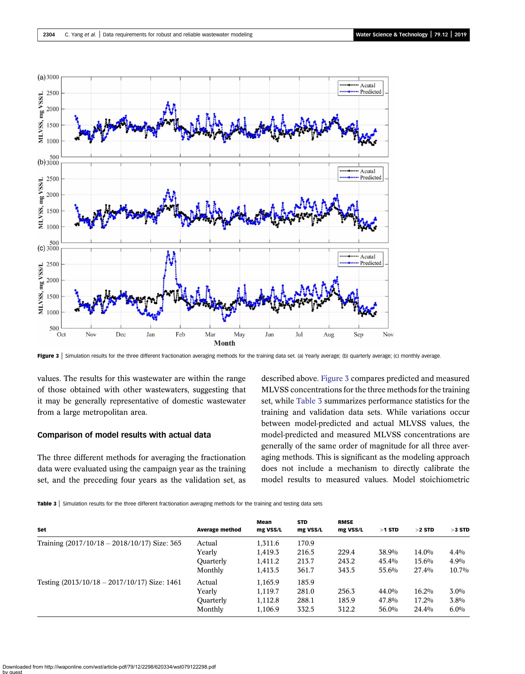<span id="page-6-0"></span>

Figure 3 | Simulation results for the three different fractionation averaging methods for the training data set. (a) Yearly average; (b) quarterly average; (c) monthly average.

values. The results for this wastewater are within the range of those obtained with other wastewaters, suggesting that it may be generally representative of domestic wastewater from a large metropolitan area.

### Comparison of model results with actual data

The three different methods for averaging the fractionation data were evaluated using the campaign year as the training set, and the preceding four years as the validation set, as described above. Figure 3 compares predicted and measured MLVSS concentrations for the three methods for the training set, while Table 3 summarizes performance statistics for the training and validation data sets. While variations occur between model-predicted and actual MLVSS values, the model-predicted and measured MLVSS concentrations are generally of the same order of magnitude for all three averaging methods. This is significant as the modeling approach does not include a mechanism to directly calibrate the model results to measured values. Model stoichiometric

|  | Table 3 Simulation results for the three different fractionation averaging methods for the training and testing data sets |  |  |  |  |
|--|---------------------------------------------------------------------------------------------------------------------------|--|--|--|--|
|--|---------------------------------------------------------------------------------------------------------------------------|--|--|--|--|

| <b>Set</b>                                     | <b>Average method</b> | Mean<br>mg VSS/L | <b>STD</b><br>mg VSS/L | <b>RMSE</b><br>mg VSS/L | $>1$ STD | $>2$ STD | $>$ 3 STD |
|------------------------------------------------|-----------------------|------------------|------------------------|-------------------------|----------|----------|-----------|
| Training $(2017/10/18 - 2018/10/17)$ Size: 365 | Actual                | 1,311.6          | 170.9                  |                         |          |          |           |
|                                                | Yearly                | 1,419.3          | 216.5                  | 229.4                   | 38.9%    | 14.0%    | 4.4%      |
|                                                | Ouarterly             | 1,411.2          | 213.7                  | 243.2                   | 45.4%    | 15.6%    | 4.9%      |
|                                                | Monthly               | 1,413.5          | 361.7                  | 343.5                   | 55.6%    | 27.4%    | $10.7\%$  |
| Testing $(2013/10/18 - 2017/10/17)$ Size: 1461 | Actual                | 1,165.9          | 185.9                  |                         |          |          |           |
|                                                | Yearly                | 1,119.7          | 281.0                  | 256.3                   | 44.0%    | $16.2\%$ | $3.0\%$   |
|                                                | Quarterly             | 1,112.8          | 288.1                  | 185.9                   | 47.8%    | $17.2\%$ | $3.8\%$   |
|                                                | Monthly               | 1,106.9          | 332.5                  | 312.2                   | 56.0%    | 24.4%    | $6.0\%$   |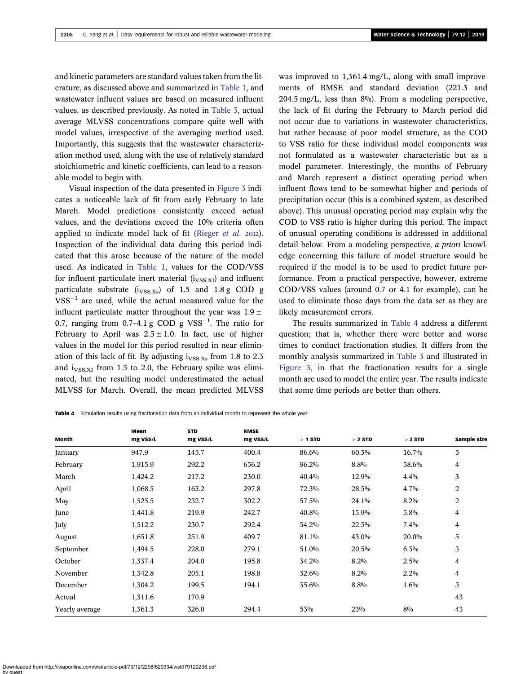<span id="page-7-0"></span>and kinetic parameters are standard values taken from the literature, as discussed above and summarized in [Table 1](#page-3-0), and wastewater influent values are based on measured influent values, as described previously. As noted in [Table 3](#page-6-0), actual average MLVSS concentrations compare quite well with model values, irrespective of the averaging method used. Importantly, this suggests that the wastewater characterization method used, along with the use of relatively standard stoichiometric and kinetic coefficients, can lead to a reasonable model to begin with.

Visual inspection of the data presented in [Figure 3](#page-6-0) indicates a noticeable lack of fit from early February to late March. Model predictions consistently exceed actual values, and the deviations exceed the 10% criteria often applied to indicate model lack of fit [\(Rieger](#page-11-0)  $et$   $al.$  2012). Inspection of the individual data during this period indicated that this arose because of the nature of the model used. As indicated in [Table 1](#page-3-0), values for the COD/VSS for influent particulate inert material  $(i_{VSSXI})$  and influent particulate substrate  $(i<sub>VSS,Xs</sub>)$  of 1.5 and 1.8 g COD g  $VSS^{-1}$  are used, while the actual measured value for the influent particulate matter throughout the year was  $1.9 \pm$ 0.7, ranging from 0.7-4.1 g COD g  $VSS^{-1}$ . The ratio for February to April was  $2.5 \pm 1.0$ . In fact, use of higher values in the model for this period resulted in near elimination of this lack of fit. By adjusting  $i<sub>VSS,Xs</sub>$  from 1.8 to 2.3 and  $i<sub>VSS,XI</sub>$  from 1.5 to 2.0, the February spike was eliminated, but the resulting model underestimated the actual MLVSS for March. Overall, the mean predicted MLVSS was improved to 1,361.4 mg/L, along with small improvements of RMSE and standard deviation (221.3 and 204.5 mg/L, less than 8%). From a modeling perspective, the lack of fit during the February to March period did not occur due to variations in wastewater characteristics, but rather because of poor model structure, as the COD to VSS ratio for these individual model components was not formulated as a wastewater characteristic but as a model parameter. Interestingly, the months of February and March represent a distinct operating period when influent flows tend to be somewhat higher and periods of precipitation occur (this is a combined system, as described above). This unusual operating period may explain why the COD to VSS ratio is higher during this period. The impact of unusual operating conditions is addressed in additional detail below. From a modeling perspective, a priori knowledge concerning this failure of model structure would be required if the model is to be used to predict future performance. From a practical perspective, however, extreme COD/VSS values (around 0.7 or 4.1 for example), can be used to eliminate those days from the data set as they are likely measurement errors.

The results summarized in Table 4 address a different question; that is, whether there were better and worse times to conduct fractionation studies. It differs from the monthly analysis summarized in [Table 3](#page-6-0) and illustrated in [Figure 3,](#page-6-0) in that the fractionation results for a single month are used to model the entire year. The results indicate that some time periods are better than others.

Table 4 | Simulation results using fractionation data from an individual month to represent the whole year

| Month          | Mean<br>mg VSS/L | <b>STD</b><br>mg VSS/L | <b>RMSE</b><br>mg VSS/L | $> 1$ STD | $> 2$ STD | $>$ 3 STD | Sample size    |
|----------------|------------------|------------------------|-------------------------|-----------|-----------|-----------|----------------|
| January        | 947.9            | 145.7                  | 400.4                   | 86.6%     | $60.3\%$  | 16.7%     | 5              |
| February       | 1,915.9          | 292.2                  | 656.2                   | 96.2%     | 8.8%      | 58.6%     | 4              |
| March          | 1,424.2          | 217.2                  | 230.0                   | 40.4%     | 12.9%     | 4.4%      | 3              |
| April          | 1,068.5          | 163.2                  | 297.8                   | 72.3%     | 28.5%     | $4.7\%$   | $\overline{2}$ |
| May            | 1,525.5          | 232.7                  | 302.2                   | 57.5%     | 24.1%     | $8.2\%$   | 2              |
| June           | 1,441.8          | 219.9                  | 242.7                   | 40.8%     | 15.9%     | 5.8%      | 4              |
| July           | 1,512.2          | 230.7                  | 292.4                   | 54.2%     | 22.5%     | 7.4%      | 4              |
| August         | 1,651.8          | 251.9                  | 409.7                   | 81.1%     | 43.0%     | 20.0%     | 5              |
| September      | 1,494.5          | 228.0                  | 279.1                   | 51.0%     | 20.5%     | $6.3\%$   | 3              |
| October        | 1,337.4          | 204.0                  | 195.8                   | 34.2%     | $8.2\%$   | $2.5\%$   | 4              |
| November       | 1,342.8          | 205.1                  | 198.8                   | 32.6%     | $8.2\%$   | $2.2\%$   | 4              |
| December       | 1,304.2          | 199.5                  | 194.1                   | 35.6%     | 8.8%      | 1.6%      | 3              |
| Actual         | 1,311.6          | 170.9                  |                         |           |           |           | 43             |
| Yearly average | 1,361.3          | 326.0                  | 294.4                   | 53%       | 23%       | $8\%$     | 43             |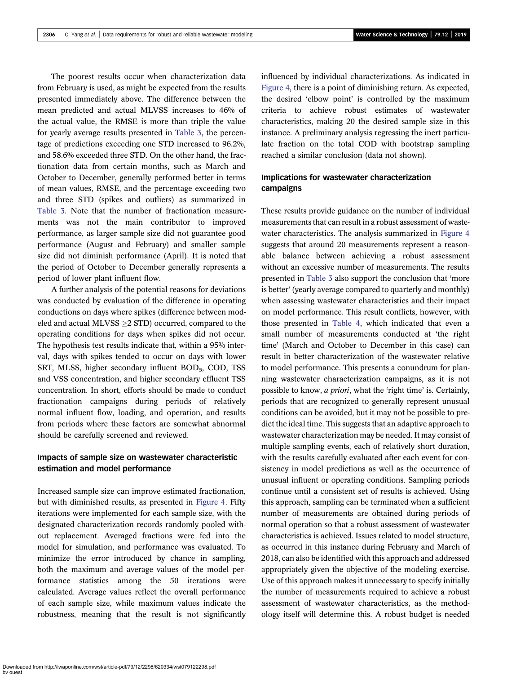The poorest results occur when characterization data from February is used, as might be expected from the results presented immediately above. The difference between the mean predicted and actual MLVSS increases to 46% of the actual value, the RMSE is more than triple the value for yearly average results presented in [Table 3,](#page-6-0) the percentage of predictions exceeding one STD increased to 96.2%, and 58.6% exceeded three STD. On the other hand, the fractionation data from certain months, such as March and October to December, generally performed better in terms of mean values, RMSE, and the percentage exceeding two and three STD (spikes and outliers) as summarized in [Table 3](#page-6-0). Note that the number of fractionation measurements was not the main contributor to improved performance, as larger sample size did not guarantee good performance (August and February) and smaller sample size did not diminish performance (April). It is noted that the period of October to December generally represents a period of lower plant influent flow.

A further analysis of the potential reasons for deviations was conducted by evaluation of the difference in operating conductions on days where spikes (difference between modeled and actual MLVSS 2 STD) occurred, compared to the operating conditions for days when spikes did not occur. The hypothesis test results indicate that, within a 95% interval, days with spikes tended to occur on days with lower SRT, MLSS, higher secondary influent BOD5, COD, TSS and VSS concentration, and higher secondary effluent TSS concentration. In short, efforts should be made to conduct fractionation campaigns during periods of relatively normal influent flow, loading, and operation, and results from periods where these factors are somewhat abnormal should be carefully screened and reviewed.

### Impacts of sample size on wastewater characteristic estimation and model performance

Increased sample size can improve estimated fractionation, but with diminished results, as presented in [Figure 4.](#page-9-0) Fifty iterations were implemented for each sample size, with the designated characterization records randomly pooled without replacement. Averaged fractions were fed into the model for simulation, and performance was evaluated. To minimize the error introduced by chance in sampling, both the maximum and average values of the model performance statistics among the 50 iterations were calculated. Average values reflect the overall performance of each sample size, while maximum values indicate the robustness, meaning that the result is not significantly influenced by individual characterizations. As indicated in [Figure 4](#page-9-0), there is a point of diminishing return. As expected, the desired 'elbow point' is controlled by the maximum criteria to achieve robust estimates of wastewater characteristics, making 20 the desired sample size in this instance. A preliminary analysis regressing the inert particulate fraction on the total COD with bootstrap sampling reached a similar conclusion (data not shown).

## Implications for wastewater characterization campaigns

These results provide guidance on the number of individual measurements that can result in a robust assessment of wastewater characteristics. The analysis summarized in [Figure 4](#page-9-0) suggests that around 20 measurements represent a reasonable balance between achieving a robust assessment without an excessive number of measurements. The results presented in [Table 3](#page-6-0) also support the conclusion that 'more is better' (yearly average compared to quarterly and monthly) when assessing wastewater characteristics and their impact on model performance. This result conflicts, however, with those presented in [Table 4](#page-7-0), which indicated that even a small number of measurements conducted at 'the right time' (March and October to December in this case) can result in better characterization of the wastewater relative to model performance. This presents a conundrum for planning wastewater characterization campaigns, as it is not possible to know, a priori, what the 'right time' is. Certainly, periods that are recognized to generally represent unusual conditions can be avoided, but it may not be possible to predict the ideal time. This suggests that an adaptive approach to wastewater characterization may be needed. It may consist of multiple sampling events, each of relatively short duration, with the results carefully evaluated after each event for consistency in model predictions as well as the occurrence of unusual influent or operating conditions. Sampling periods continue until a consistent set of results is achieved. Using this approach, sampling can be terminated when a sufficient number of measurements are obtained during periods of normal operation so that a robust assessment of wastewater characteristics is achieved. Issues related to model structure, as occurred in this instance during February and March of 2018, can also be identified with this approach and addressed appropriately given the objective of the modeling exercise. Use of this approach makes it unnecessary to specify initially the number of measurements required to achieve a robust assessment of wastewater characteristics, as the methodology itself will determine this. A robust budget is needed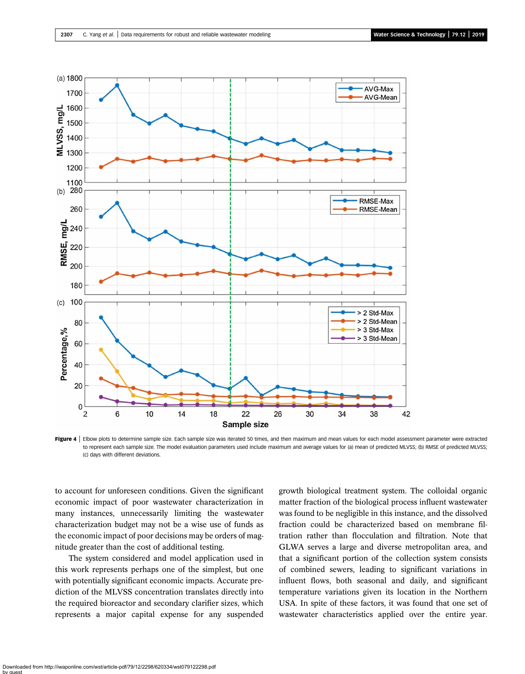<span id="page-9-0"></span>

Figure 4 | Elbow plots to determine sample size. Each sample size was iterated 50 times, and then maximum and mean values for each model assessment parameter were extracted to represent each sample size. The model evaluation parameters used include maximum and average values for (a) mean of predicted MLVSS; (b) RMSE of predicted MLVSS; (c) days with different deviations.

to account for unforeseen conditions. Given the significant economic impact of poor wastewater characterization in many instances, unnecessarily limiting the wastewater characterization budget may not be a wise use of funds as the economic impact of poor decisions may be orders of magnitude greater than the cost of additional testing.

The system considered and model application used in this work represents perhaps one of the simplest, but one with potentially significant economic impacts. Accurate prediction of the MLVSS concentration translates directly into the required bioreactor and secondary clarifier sizes, which represents a major capital expense for any suspended growth biological treatment system. The colloidal organic matter fraction of the biological process influent wastewater was found to be negligible in this instance, and the dissolved fraction could be characterized based on membrane filtration rather than flocculation and filtration. Note that GLWA serves a large and diverse metropolitan area, and that a significant portion of the collection system consists of combined sewers, leading to significant variations in influent flows, both seasonal and daily, and significant temperature variations given its location in the Northern USA. In spite of these factors, it was found that one set of wastewater characteristics applied over the entire year.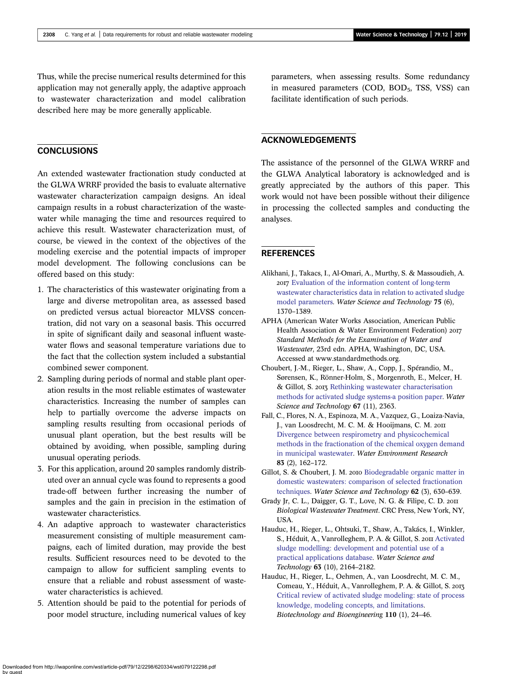<span id="page-10-0"></span>Thus, while the precise numerical results determined for this application may not generally apply, the adaptive approach to wastewater characterization and model calibration described here may be more generally applicable.

### **CONCLUSIONS**

An extended wastewater fractionation study conducted at the GLWA WRRF provided the basis to evaluate alternative wastewater characterization campaign designs. An ideal campaign results in a robust characterization of the wastewater while managing the time and resources required to achieve this result. Wastewater characterization must, of course, be viewed in the context of the objectives of the modeling exercise and the potential impacts of improper model development. The following conclusions can be offered based on this study:

- 1. The characteristics of this wastewater originating from a large and diverse metropolitan area, as assessed based on predicted versus actual bioreactor MLVSS concentration, did not vary on a seasonal basis. This occurred in spite of significant daily and seasonal influent wastewater flows and seasonal temperature variations due to the fact that the collection system included a substantial combined sewer component.
- 2. Sampling during periods of normal and stable plant operation results in the most reliable estimates of wastewater characteristics. Increasing the number of samples can help to partially overcome the adverse impacts on sampling results resulting from occasional periods of unusual plant operation, but the best results will be obtained by avoiding, when possible, sampling during unusual operating periods.
- 3. For this application, around 20 samples randomly distributed over an annual cycle was found to represents a good trade-off between further increasing the number of samples and the gain in precision in the estimation of wastewater characteristics.
- 4. An adaptive approach to wastewater characteristics measurement consisting of multiple measurement campaigns, each of limited duration, may provide the best results. Sufficient resources need to be devoted to the campaign to allow for sufficient sampling events to ensure that a reliable and robust assessment of wastewater characteristics is achieved.
- 5. Attention should be paid to the potential for periods of poor model structure, including numerical values of key

parameters, when assessing results. Some redundancy in measured parameters (COD, BOD<sub>5</sub>, TSS, VSS) can facilitate identification of such periods.

### ACKNOWLEDGEMENTS

The assistance of the personnel of the GLWA WRRF and the GLWA Analytical laboratory is acknowledged and is greatly appreciated by the authors of this paper. This work would not have been possible without their diligence in processing the collected samples and conducting the analyses.

#### **REFERENCES**

- Alikhani, J., Takacs, I., Al-Omari, A., Murthy, S. & Massoudieh, A. [Evaluation of the information content of long-term](http://dx.doi.org/10.2166/wst.2017.004) [wastewater characteristics data in relation to activated sludge](http://dx.doi.org/10.2166/wst.2017.004) [model parameters](http://dx.doi.org/10.2166/wst.2017.004). Water Science and Technology 75 (6), 1370–1389.
- APHA (American Water Works Association, American Public Health Association & Water Environment Federation) 2017 Standard Methods for the Examination of Water and Wastewater, 23rd edn. APHA, Washington, DC, USA. Accessed at www.standardmethods.org.
- Choubert, J.-M., Rieger, L., Shaw, A., Copp, J., Spérandio, M., Sørensen, K., Rönner-Holm, S., Morgenroth, E., Melcer, H. & Gillot, S. 2013 [Rethinking wastewater characterisation](http://dx.doi.org/10.2166/wst.2013.158) [methods for activated sludge systems-a position paper.](http://dx.doi.org/10.2166/wst.2013.158) Water Science and Technology 67 (11), 2363.
- Fall, C., Flores, N. A., Espinoza, M. A., Vazquez, G., Loaiza-Navia, J., van Loosdrecht, M. C. M. & Hooijmans, C. M. [Divergence between respirometry and physicochemical](http://dx.doi.org/10.2175/106143010X12780288627931) [methods in the fractionation of the chemical oxygen demand](http://dx.doi.org/10.2175/106143010X12780288627931) [in municipal wastewater.](http://dx.doi.org/10.2175/106143010X12780288627931) Water Environment Research 83 (2), 162–172.
- Gillot, S. & Choubert, J. M. 2010 [Biodegradable organic matter in](http://dx.doi.org/10.2166/wst.2010.341) [domestic wastewaters: comparison of selected fractionation](http://dx.doi.org/10.2166/wst.2010.341) [techniques](http://dx.doi.org/10.2166/wst.2010.341). Water Science and Technology 62 (3), 630-639.
- Grady Jr, C. L., Daigger, G. T., Love, N. G. & Filipe, C. D. 2011 Biological Wastewater Treatment. CRC Press, New York, NY, USA.
- Hauduc, H., Rieger, L., Ohtsuki, T., Shaw, A., Takács, I., Winkler, S., Héduit, A., Vanrolleghem, P. A. & Gillot, S. 2011 [Activated](http://dx.doi.org/10.2166/wst.2011.368) [sludge modelling: development and potential use of a](http://dx.doi.org/10.2166/wst.2011.368) [practical applications database.](http://dx.doi.org/10.2166/wst.2011.368) Water Science and Technology 63 (10), 2164–2182.
- Hauduc, H., Rieger, L., Oehmen, A., van Loosdrecht, M. C. M., Comeau, Y., Héduit, A., Vanrolleghem, P. A. & Gillot, S. [Critical review of activated sludge modeling: state of process](http://dx.doi.org/10.1002/bit.24624) [knowledge, modeling concepts, and limitations.](http://dx.doi.org/10.1002/bit.24624) Biotechnology and Bioengineering 110 (1), 24–46.